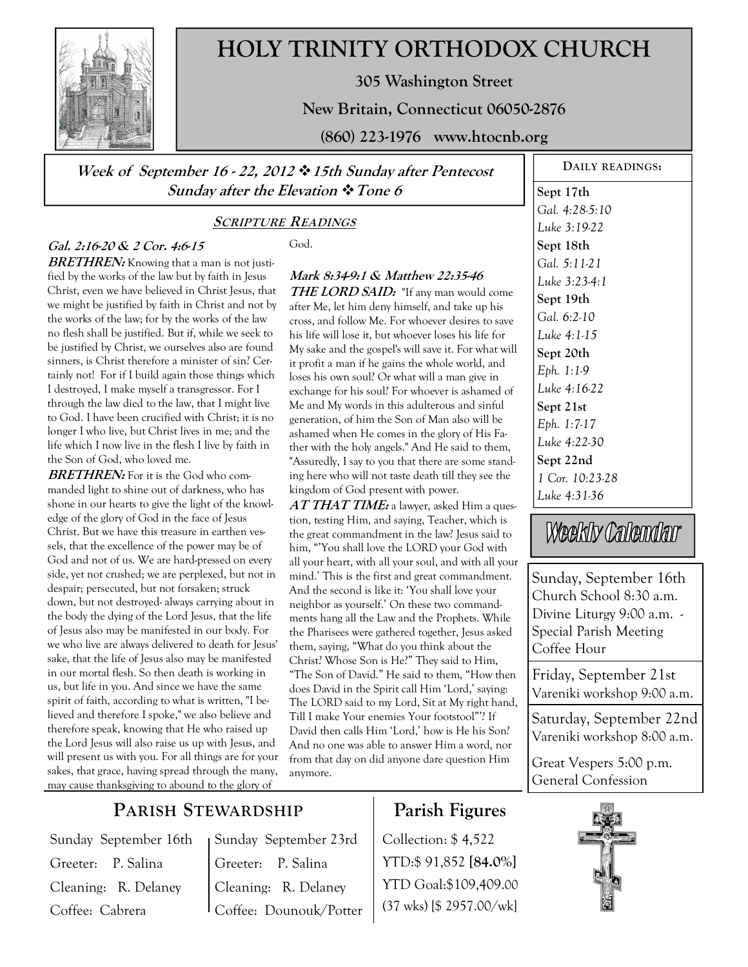

# **HOLY TRINITY ORTHODOX CHURCH**

**305 Washington Street** 

**New Britain, Connecticut 06050-2876** 

**(860) 223-1976 www.htocnb.org** 

**Week of September 16 - 22, 2012 15th Sunday after Pentecost Sunday after the Elevation Tone 6** 

#### **SCRIPTURE READINGS**

#### **Gal. 2:16-20 & 2 Cor. 4:6-15**

**BRETHREN:** Knowing that a man is not justified by the works of the law but by faith in Jesus Christ, even we have believed in Christ Jesus, that we might be justified by faith in Christ and not by the works of the law; for by the works of the law no flesh shall be justified. But if, while we seek to be justified by Christ, we ourselves also are found sinners, is Christ therefore a minister of sin? Certainly not! For if I build again those things which I destroyed, I make myself a transgressor. For I through the law died to the law, that I might live to God. I have been crucified with Christ; it is no longer I who live, but Christ lives in me; and the life which I now live in the flesh I live by faith in the Son of God, who loved me.

**BRETHREN:** For it is the God who commanded light to shine out of darkness, who has shone in our hearts to give the light of the knowledge of the glory of God in the face of Jesus Christ. But we have this treasure in earthen vessels, that the excellence of the power may be of God and not of us. We are hard-pressed on every side, yet not crushed; we are perplexed, but not in despair; persecuted, but not forsaken; struck down, but not destroyed- always carrying about in the body the dying of the Lord Jesus, that the life of Jesus also may be manifested in our body. For we who live are always delivered to death for Jesus' sake, that the life of Jesus also may be manifested in our mortal flesh. So then death is working in us, but life in you. And since we have the same spirit of faith, according to what is written, "I believed and therefore I spoke," we also believe and therefore speak, knowing that He who raised up the Lord Jesus will also raise us up with Jesus, and will present us with you. For all things are for your sakes, that grace, having spread through the many, may cause thanksgiving to abound to the glory of

God.

### **Mark 8:34-9:1 & Matthew 22:35-46**

**THE LORD SAID:** "If any man would come after Me, let him deny himself, and take up his cross, and follow Me. For whoever desires to save his life will lose it, but whoever loses his life for My sake and the gospel's will save it. For what will it profit a man if he gains the whole world, and loses his own soul? Or what will a man give in exchange for his soul? For whoever is ashamed of Me and My words in this adulterous and sinful generation, of him the Son of Man also will be ashamed when He comes in the glory of His Father with the holy angels." And He said to them, "Assuredly, I say to you that there are some standing here who will not taste death till they see the kingdom of God present with power.

**AT THAT TIME:** a lawyer, asked Him a question, testing Him, and saying, Teacher, which is the great commandment in the law? Jesus said to him, "'You shall love the LORD your God with all your heart, with all your soul, and with all your mind.' This is the first and great commandment. And the second is like it: 'You shall love your neighbor as yourself.' On these two commandments hang all the Law and the Prophets. While the Pharisees were gathered together, Jesus asked them, saying, "What do you think about the Christ? Whose Son is He?" They said to Him, "The Son of David." He said to them, "How then does David in the Spirit call Him 'Lord,' saying: The LORD said to my Lord, Sit at My right hand, Till I make Your enemies Your footstool"'? If David then calls Him 'Lord,' how is He his Son? And no one was able to answer Him a word, nor from that day on did anyone dare question Him anymore.

#### **DAILY READINGS:**

**Sept 17th**  *Gal. 4:28-5:10 Luke 3:19-22*  **Sept 18th**  *Gal. 5:11-21 Luke 3:23-4:1*  **Sept 19th**  *Gal. 6:2-10 Luke 4:1-15*  **Sept 20th**  *Eph. 1:1-9 Luke 4:16-22*  **Sept 21st**  *Eph. 1:7-17 Luke 4:22-30*  **Sept 22nd**  *1 Cor. 10:23-28 Luke 4:31-36* 

Weekly Calendar

Sunday, September 16th Church School 8:30 a.m. Divine Liturgy 9:00 a.m. - Special Parish Meeting Coffee Hour

Friday, September 21st Vareniki workshop 9:00 a.m.

Saturday, September 22nd Vareniki workshop 8:00 a.m.

Great Vespers 5:00 p.m. General Confession



## **PARISH STEWARDSHIP**

Sunday September 16th Greeter: P. Salina Cleaning: R. Delaney Coffee: Cabrera

Sunday September 23rd Greeter: P. Salina Cleaning: R. Delaney Coffee: Dounouk/Potter

## **Parish Figures**

Collection: \$ 4,522 YTD:\$ 91,852 **[84.0%]** YTD Goal:\$109,409.00 (37 wks) [\$ 2957.00/wk]